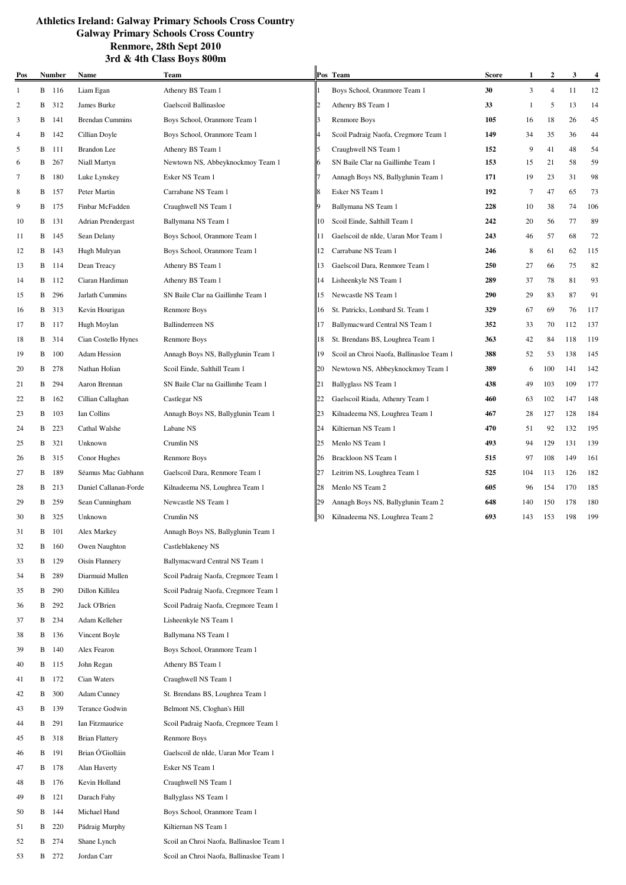| Pos |   | <b>Number</b> | Name                   | <b>Team</b>                          | Pos | <b>Team</b>                              | <b>Score</b> |     | 2              | 3   | $\frac{4}{1}$ |
|-----|---|---------------|------------------------|--------------------------------------|-----|------------------------------------------|--------------|-----|----------------|-----|---------------|
| 1   |   | B 116         | Liam Egan              | Athenry BS Team 1                    |     | Boys School, Oranmore Team 1             | 30           | 3   | $\overline{4}$ | 11  | 12            |
| 2   | В | 312           | James Burke            | Gaelscoil Ballinasloe                |     | Athenry BS Team 1                        | 33           | -1  | 5              | 13  | 14            |
| 3   | B | 141           | <b>Brendan Cummins</b> | Boys School, Oranmore Team 1         |     | Renmore Boys                             | 105          | 16  | 18             | 26  | 45            |
| 4   | B | 142           | Cillian Doyle          | Boys School, Oranmore Team 1         |     | Scoil Padraig Naofa, Cregmore Team 1     | 149          | 34  | 35             | 36  | 44            |
| 5   | B | 111           | <b>Brandon</b> Lee     | Athenry BS Team 1                    |     | Craughwell NS Team 1                     | 152          | 9   | 41             | 48  | 54            |
| 6   | В | 267           | Niall Martyn           | Newtown NS, Abbeyknockmoy Team 1     |     | SN Baile Clar na Gaillimhe Team 1        | 153          | 15  | 21             | 58  | 59            |
| 7   | B | 180           | Luke Lynskey           | Esker NS Team 1                      |     | Annagh Boys NS, Ballyglunin Team 1       | 171          | 19  | 23             | 31  | 98            |
| 8   | B | 157           | Peter Martin           | Carrabane NS Team 1                  |     | Esker NS Team 1                          | 192          | 7   | 47             | 65  | 73            |
| 9   | B | 175           | Finbar McFadden        | Craughwell NS Team 1                 |     | Ballymana NS Team 1                      | 228          | 10  | 38             | 74  | 106           |
| 10  | B | 131           | Adrian Prendergast     | Ballymana NS Team 1                  | 10  | Scoil Einde, Salthill Team 1             | 242          | 20  | 56             | 77  | 89            |
| 11  | В | 145           | Sean Delany            | Boys School, Oranmore Team 1         | 11  | Gaelscoil de nIde, Uaran Mor Team 1      | 243          | 46  | 57             | 68  | 72            |
| 12  | B | 143           | Hugh Mulryan           | Boys School, Oranmore Team 1         | 12  | Carrabane NS Team 1                      | 246          | 8   | 61             | 62  | 115           |
| 13  | B | 114           | Dean Treacy            | Athenry BS Team 1                    | 13  | Gaelscoil Dara, Renmore Team 1           | 250          | 27  | 66             | 75  | 82            |
| 14  | B | 112           | Ciaran Hardiman        | Athenry BS Team 1                    | 14  | Lisheenkyle NS Team 1                    | 289          | 37  | 78             | 81  | 93            |
| 15  | B | 296           | Jarlath Cummins        | SN Baile Clar na Gaillimhe Team 1    | 15  | Newcastle NS Team 1                      | 290          | 29  | 83             | 87  | 91            |
| 16  | В | 313           | Kevin Hourigan         | Renmore Boys                         | 16  | St. Patricks, Lombard St. Team 1         | 329          | 67  | 69             | 76  | 117           |
| 17  | B | 117           | Hugh Moylan            | <b>Ballinderreen NS</b>              | 17  | Ballymacward Central NS Team 1           | 352          | 33  | 70             | 112 | 137           |
| 18  | B | 314           | Cian Costello Hynes    | <b>Renmore Boys</b>                  | 18  | St. Brendans BS, Loughrea Team 1         | 363          | 42  | 84             | 118 | 119           |
| 19  | B | 100           | <b>Adam Hession</b>    | Annagh Boys NS, Ballyglunin Team 1   | 19  | Scoil an Chroi Naofa, Ballinasloe Team 1 | 388          | 52  | 53             | 138 | 145           |
| 20  | B | 278           | Nathan Holian          | Scoil Einde, Salthill Team 1         | 20  | Newtown NS, Abbeyknockmoy Team 1         | 389          | 6   | 100            | 141 | 142           |
| 21  | В | 294           | Aaron Brennan          | SN Baile Clar na Gaillimhe Team 1    | 21  | Ballyglass NS Team 1                     | 438          | 49  | 103            | 109 | 177           |
| 22  | B | 162           | Cillian Callaghan      | Castlegar NS                         | 22  | Gaelscoil Riada, Athenry Team 1          | 460          | 63  | 102            | 147 | 148           |
| 23  | B | 103           | Ian Collins            | Annagh Boys NS, Ballyglunin Team 1   | 23  | Kilnadeema NS, Loughrea Team 1           | 467          | 28  | 127            | 128 | 184           |
| 24  | B | 223           | Cathal Walshe          | Labane NS                            | 24  | Kiltiernan NS Team 1                     | 470          | 51  | 92             | 132 | 195           |
| 25  | B | 321           | Unknown                | Crumlin NS                           | 25  | Menlo NS Team 1                          | 493          | 94  | 129            | 131 | 139           |
| 26  | В | 315           | Conor Hughes           | Renmore Boys                         | 26  | Brackloon NS Team 1                      | 515          | 97  | 108            | 149 | 161           |
| 27  | B | 189           | Séamus Mac Gabhann     | Gaelscoil Dara, Renmore Team 1       | 27  | Leitrim NS, Loughrea Team 1              | 525          | 104 | 113            | 126 | 182           |
| 28  | B | 213           | Daniel Callanan-Forde  | Kilnadeema NS, Loughrea Team 1       | 28  | Menlo NS Team 2                          | 605          | 96  | 154            | 170 | 185           |
| 29  | B | 259           | Sean Cunningham        | Newcastle NS Team 1                  | 29  | Annagh Boys NS, Ballyglunin Team 2       | 648          | 140 | 150            | 178 | 180           |
| 30  | В | 325           | Unknown                | Crumlin NS                           | 30  | Kilnadeema NS, Loughrea Team 2           | 693          | 143 | 153            | 198 | 199           |
| 31  | B | 101           | Alex Markey            | Annagh Boys NS, Ballyglunin Team 1   |     |                                          |              |     |                |     |               |
| 32  | B | 160           | Owen Naughton          | Castleblakeney NS                    |     |                                          |              |     |                |     |               |
| 33  | B | 129           | Oisín Flannery         | Ballymacward Central NS Team 1       |     |                                          |              |     |                |     |               |
| 34  | B | 289           | Diarmuid Mullen        | Scoil Padraig Naofa, Cregmore Team 1 |     |                                          |              |     |                |     |               |
| 35  | B | 290           | Dillon Killilea        | Scoil Padraig Naofa, Cregmore Team 1 |     |                                          |              |     |                |     |               |
| 36  | В | 292           | Jack O'Brien           | Scoil Padraig Naofa, Cregmore Team 1 |     |                                          |              |     |                |     |               |
| 37  |   | B 234         | Adam Kelleher          | Lisheenkyle NS Team 1                |     |                                          |              |     |                |     |               |
| 38  | B | 136           | Vincent Boyle          | Ballymana NS Team 1                  |     |                                          |              |     |                |     |               |
| 39  | В | 140           | Alex Fearon            | Boys School, Oranmore Team 1         |     |                                          |              |     |                |     |               |
| 40  | B | 115           | John Regan             | Athenry BS Team 1                    |     |                                          |              |     |                |     |               |
| 41  | В | 172           | Cian Waters            | Craughwell NS Team 1                 |     |                                          |              |     |                |     |               |
| 42  |   | <b>B</b> 300  | <b>Adam Cunney</b>     | St. Brendans BS, Loughrea Team 1     |     |                                          |              |     |                |     |               |

 $\mathbf{u}$ 

52 B 274 Shane Lynch Scoil an Chroi Naofa, Ballinasloe Team 1

53 B 272 Jordan Carr Scoil an Chroi Naofa, Ballinasloe Team 1

43 B 139 Terance Godwin Belmont NS, Cloghan's Hill

45 B 318 Brian Flattery Renmore Boys

47 B 178 Alan Haverty Esker NS Team 1 48 B 176 Kevin Holland Craughwell NS Team 1 49 B 121 Darach Fahy Ballyglass NS Team 1 50 B 144 Michael Hand Boys School, Oranmore Team 1

51 B 220 Pádraig Murphy Kiltiernan NS Team 1

44 B 291 Ian Fitzmaurice Scoil Padraig Naofa, Cregmore Team 1

46 B 191 Brian Ó'Giolláin Gaelscoil de nIde, Uaran Mor Team 1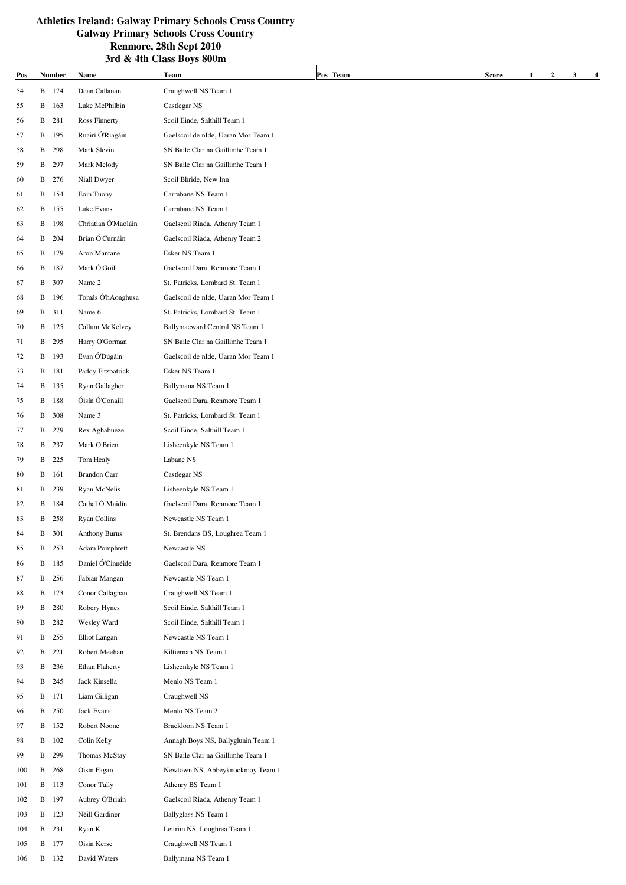|     |   |               |                     | JIU & 4th Class DOYS OVVIII                             |          |              |                       |   |   |
|-----|---|---------------|---------------------|---------------------------------------------------------|----------|--------------|-----------------------|---|---|
| Pos |   | <b>Number</b> | Name                | Team                                                    | Pos Team | <b>Score</b> | $\boldsymbol{2}$<br>1 | 3 | 4 |
| 54  |   | B 174         | Dean Callanan       | Craughwell NS Team 1                                    |          |              |                       |   |   |
| 55  | B | 163           | Luke McPhilbin      | Castlegar NS                                            |          |              |                       |   |   |
| 56  | B | 281           | Ross Finnerty       | Scoil Einde, Salthill Team 1                            |          |              |                       |   |   |
| 57  | B | 195           | Ruairí Ó'Riagáin    | Gaelscoil de nIde, Uaran Mor Team 1                     |          |              |                       |   |   |
| 58  | B | 298           | Mark Slevin         | SN Baile Clar na Gaillimhe Team 1                       |          |              |                       |   |   |
| 59  | B | 297           | Mark Melody         | SN Baile Clar na Gaillimhe Team 1                       |          |              |                       |   |   |
| 60  | B | 276           | Niall Dwyer         | Scoil Bhride, New Inn                                   |          |              |                       |   |   |
| 61  | B | 154           | Eoin Tuohy          | Carrabane NS Team 1                                     |          |              |                       |   |   |
| 62  | B | 155           | Luke Evans          | Carrabane NS Team 1                                     |          |              |                       |   |   |
| 63  | B | 198           | Chriatian Ó'Maoláin | Gaelscoil Riada, Athenry Team 1                         |          |              |                       |   |   |
| 64  | B | 204           | Brian Ó'Curnáin     | Gaelscoil Riada, Athenry Team 2                         |          |              |                       |   |   |
| 65  | B | 179           | Aron Mantane        | Esker NS Team 1                                         |          |              |                       |   |   |
| 66  | B | 187           | Mark Ó'Goill        | Gaelscoil Dara, Renmore Team 1                          |          |              |                       |   |   |
| 67  | B | 307           | Name 2              | St. Patricks, Lombard St. Team 1                        |          |              |                       |   |   |
| 68  | B | 196           | Tomás Ó'hAonghusa   | Gaelscoil de nIde, Uaran Mor Team 1                     |          |              |                       |   |   |
| 69  | В | 311           | Name 6              | St. Patricks, Lombard St. Team 1                        |          |              |                       |   |   |
| 70  |   | <b>B</b> 125  | Callum McKelvey     | Ballymacward Central NS Team 1                          |          |              |                       |   |   |
| 71  | B | 295           | Harry O'Gorman      | SN Baile Clar na Gaillimhe Team 1                       |          |              |                       |   |   |
| 72  | B | 193           | Evan Ó'Dúgáin       | Gaelscoil de nIde, Uaran Mor Team 1                     |          |              |                       |   |   |
| 73  | B | 181           | Paddy Fitzpatrick   | Esker NS Team 1                                         |          |              |                       |   |   |
| 74  | B | 135           | Ryan Gallagher      | Ballymana NS Team 1                                     |          |              |                       |   |   |
| 75  | B | 188           | Óisín Ó'Conaill     | Gaelscoil Dara, Renmore Team 1                          |          |              |                       |   |   |
| 76  | B | 308           | Name 3              | St. Patricks, Lombard St. Team 1                        |          |              |                       |   |   |
| 77  | B | 279           | Rex Aghabueze       | Scoil Einde, Salthill Team 1                            |          |              |                       |   |   |
| 78  | B | 237           | Mark O'Brien        | Lisheenkyle NS Team 1                                   |          |              |                       |   |   |
| 79  | B | 225           | Tom Healy           | Labane NS                                               |          |              |                       |   |   |
| 80  | B | 161           | <b>Brandon Carr</b> | Castlegar NS                                            |          |              |                       |   |   |
|     |   |               | Ryan McNelis        |                                                         |          |              |                       |   |   |
| 81  | B | 239           | Cathal Ó Maidín     | Lisheenkyle NS Team 1<br>Gaelscoil Dara, Renmore Team 1 |          |              |                       |   |   |
| 82  | B | 184           |                     |                                                         |          |              |                       |   |   |
| 83  | B | 258           | <b>Ryan Collins</b> | Newcastle NS Team 1                                     |          |              |                       |   |   |
| 84  | B | 301           | Anthony Burns       | St. Brendans BS, Loughrea Team 1                        |          |              |                       |   |   |
| 85  | B | 253           | Adam Pomphrett      | Newcastle NS                                            |          |              |                       |   |   |
| 86  | B | 185           | Daniel Ó'Cinnéide   | Gaelscoil Dara, Renmore Team 1                          |          |              |                       |   |   |
| 87  | B | 256           | Fabian Mangan       | Newcastle NS Team 1                                     |          |              |                       |   |   |
| 88  | B | 173           | Conor Callaghan     | Craughwell NS Team 1                                    |          |              |                       |   |   |
| 89  | B | 280           | Robery Hynes        | Scoil Einde, Salthill Team 1                            |          |              |                       |   |   |
| 90  | B | 282           | Wesley Ward         | Scoil Einde, Salthill Team 1                            |          |              |                       |   |   |
| 91  | B | 255           | Elliot Langan       | Newcastle NS Team 1                                     |          |              |                       |   |   |
| 92  | B | 221           | Robert Meehan       | Kiltiernan NS Team 1                                    |          |              |                       |   |   |
| 93  | B | 236           | Ethan Flaherty      | Lisheenkyle NS Team 1                                   |          |              |                       |   |   |
| 94  | B | 245           | Jack Kinsella       | Menlo NS Team 1                                         |          |              |                       |   |   |
| 95  | B | 171           | Liam Gilligan       | Craughwell NS                                           |          |              |                       |   |   |
| 96  | B | 250           | Jack Evans          | Menlo NS Team 2                                         |          |              |                       |   |   |
| 97  | B | 152           | Robert Noone        | Brackloon NS Team 1                                     |          |              |                       |   |   |
| 98  | B | 102           | Colin Kelly         | Annagh Boys NS, Ballyglunin Team 1                      |          |              |                       |   |   |
| 99  | B | 299           | Thomas McStay       | SN Baile Clar na Gaillimhe Team 1                       |          |              |                       |   |   |
| 100 | B | 268           | Oisín Fagan         | Newtown NS, Abbeyknockmoy Team 1                        |          |              |                       |   |   |
| 101 | B | 113           | Conor Tully         | Athenry BS Team 1                                       |          |              |                       |   |   |
| 102 | B | 197           | Aubrey Ó'Briain     | Gaelscoil Riada, Athenry Team 1                         |          |              |                       |   |   |
| 103 | B | 123           | Néill Gardiner      | Ballyglass NS Team 1                                    |          |              |                       |   |   |
| 104 | B | 231           | Ryan K              | Leitrim NS, Loughrea Team 1                             |          |              |                       |   |   |
| 105 |   | <b>B</b> 177  | Oisin Kerse         | Craughwell NS Team 1                                    |          |              |                       |   |   |
| 106 | B | 132           | David Waters        | Ballymana NS Team 1                                     |          |              |                       |   |   |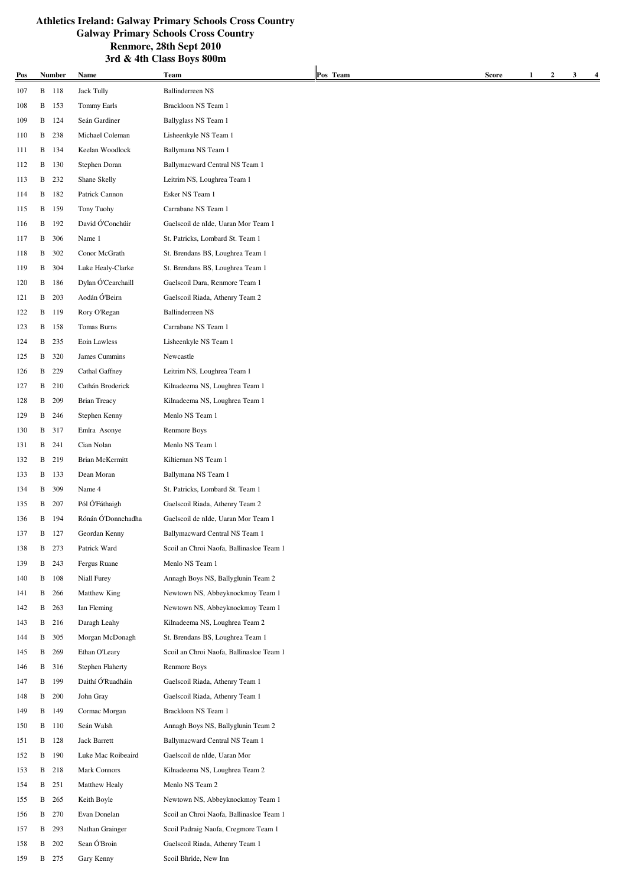|     |   |               |                                  | ƏLU & 4UI ∪IASS DUYS OVVIII              |          |       |        |   |   |
|-----|---|---------------|----------------------------------|------------------------------------------|----------|-------|--------|---|---|
| Pos |   | <b>Number</b> | Name                             | Team                                     | Pos Team | Score | 2<br>1 | 3 | 4 |
| 107 |   | B 118         | <b>Jack Tully</b>                | <b>Ballinderreen NS</b>                  |          |       |        |   |   |
| 108 |   | B 153         | <b>Tommy Earls</b>               | Brackloon NS Team 1                      |          |       |        |   |   |
| 109 | B | 124           | Seán Gardiner                    | Ballyglass NS Team 1                     |          |       |        |   |   |
| 110 | B | 238           | Michael Coleman                  | Lisheenkyle NS Team 1                    |          |       |        |   |   |
| 111 | В | 134           | Keelan Woodlock                  | Ballymana NS Team 1                      |          |       |        |   |   |
| 112 | B | 130           | Stephen Doran                    | Ballymacward Central NS Team 1           |          |       |        |   |   |
| 113 | B | 232           | Shane Skelly                     | Leitrim NS, Loughrea Team 1              |          |       |        |   |   |
| 114 | В | 182           | Patrick Cannon                   | Esker NS Team 1                          |          |       |        |   |   |
| 115 | B | 159           | Tony Tuohy                       | Carrabane NS Team 1                      |          |       |        |   |   |
| 116 | B | 192           | David Ó'Conchúir                 | Gaelscoil de nIde, Uaran Mor Team 1      |          |       |        |   |   |
| 117 | B | 306           | Name 1                           | St. Patricks, Lombard St. Team 1         |          |       |        |   |   |
| 118 | B | 302           | Conor McGrath                    | St. Brendans BS, Loughrea Team 1         |          |       |        |   |   |
| 119 | B | 304           | Luke Healy-Clarke                | St. Brendans BS, Loughrea Team 1         |          |       |        |   |   |
| 120 | В | 186           | Dylan Ó'Cearchaill               | Gaelscoil Dara, Renmore Team 1           |          |       |        |   |   |
| 121 | B | 203           | Aodán Ó'Beirn                    | Gaelscoil Riada, Athenry Team 2          |          |       |        |   |   |
| 122 | В | 119           | Rory O'Regan                     | <b>Ballinderreen NS</b>                  |          |       |        |   |   |
| 123 |   | B 158         | Tomas Burns                      | Carrabane NS Team 1                      |          |       |        |   |   |
| 124 | B | 235           | Eoin Lawless                     | Lisheenkyle NS Team 1                    |          |       |        |   |   |
| 125 | B | 320           | James Cummins                    | Newcastle                                |          |       |        |   |   |
| 126 | B | 229           | Cathal Gaffney                   | Leitrim NS, Loughrea Team 1              |          |       |        |   |   |
| 127 | B | 210           | Cathán Broderick                 | Kilnadeema NS, Loughrea Team 1           |          |       |        |   |   |
| 128 | B | 209           | <b>Brian Treacy</b>              | Kilnadeema NS, Loughrea Team 1           |          |       |        |   |   |
| 129 |   | B 246         | Stephen Kenny                    | Menlo NS Team 1                          |          |       |        |   |   |
| 130 | B | 317           | Emlra Asonye                     | <b>Renmore Boys</b>                      |          |       |        |   |   |
| 131 | B | 241           | Cian Nolan                       | Menlo NS Team 1                          |          |       |        |   |   |
| 132 |   | B 219         | Brian McKermitt                  | Kiltiernan NS Team 1                     |          |       |        |   |   |
| 133 | B | 133           | Dean Moran                       | Ballymana NS Team 1                      |          |       |        |   |   |
| 134 | B | 309           | Name 4                           | St. Patricks, Lombard St. Team 1         |          |       |        |   |   |
| 135 | B | 207           | Pól Ó Fáthaigh                   | Gaelscoil Riada, Athenry Team 2          |          |       |        |   |   |
|     | B |               | Rónán Ó'Donnchadha               | Gaelscoil de nIde, Uaran Mor Team 1      |          |       |        |   |   |
| 136 |   | 194           |                                  |                                          |          |       |        |   |   |
| 137 | B | 127           | Geordan Kenny                    | Ballymacward Central NS Team 1           |          |       |        |   |   |
| 138 |   | B 273         | Patrick Ward                     | Scoil an Chroi Naofa, Ballinasloe Team 1 |          |       |        |   |   |
| 139 | B | 243           | Fergus Ruane                     | Menlo NS Team 1                          |          |       |        |   |   |
| 140 |   | <b>B</b> 108  | Niall Furey                      | Annagh Boys NS, Ballyglunin Team 2       |          |       |        |   |   |
| 141 | B | 266           | Matthew King                     | Newtown NS, Abbeyknockmoy Team 1         |          |       |        |   |   |
| 142 | B | 263           | Ian Fleming                      | Newtown NS, Abbeyknockmoy Team 1         |          |       |        |   |   |
| 143 | B | 216           | Daragh Leahy                     | Kilnadeema NS, Loughrea Team 2           |          |       |        |   |   |
| 144 | B | 305           | Morgan McDonagh                  | St. Brendans BS, Loughrea Team 1         |          |       |        |   |   |
| 145 | B | 269           | Ethan O'Leary                    | Scoil an Chroi Naofa, Ballinasloe Team 1 |          |       |        |   |   |
| 146 | B | 316           | <b>Stephen Flaherty</b>          | Renmore Boys                             |          |       |        |   |   |
| 147 | B | 199           | Daithí $\acute{\rm{O}}$ Ruadháin | Gaelscoil Riada, Athenry Team 1          |          |       |        |   |   |
| 148 | B | 200           | John Gray                        | Gaelscoil Riada, Athenry Team 1          |          |       |        |   |   |
| 149 |   | B 149         | Cormac Morgan                    | Brackloon NS Team 1                      |          |       |        |   |   |
| 150 |   | <b>B</b> 110  | Seán Walsh                       | Annagh Boys NS, Ballyglunin Team 2       |          |       |        |   |   |
| 151 | B | 128           | Jack Barrett                     | Ballymacward Central NS Team 1           |          |       |        |   |   |
| 152 |   | <b>B</b> 190  | Luke Mac Roibeaird               | Gaelscoil de nIde, Uaran Mor             |          |       |        |   |   |
| 153 | В | 218           | Mark Connors                     | Kilnadeema NS, Loughrea Team 2           |          |       |        |   |   |
| 154 | B | 251           | Matthew Healy                    | Menlo NS Team 2                          |          |       |        |   |   |
| 155 | B | 265           | Keith Boyle                      | Newtown NS, Abbeyknockmoy Team 1         |          |       |        |   |   |
| 156 | B | 270           | Evan Donelan                     | Scoil an Chroi Naofa, Ballinasloe Team 1 |          |       |        |   |   |
| 157 | B | 293           | Nathan Grainger                  | Scoil Padraig Naofa, Cregmore Team 1     |          |       |        |   |   |
| 158 | B | 202           | Sean Ó'Broin                     | Gaelscoil Riada, Athenry Team 1          |          |       |        |   |   |
| 159 |   | <b>B</b> 275  | Gary Kenny                       | Scoil Bhride, New Inn                    |          |       |        |   |   |